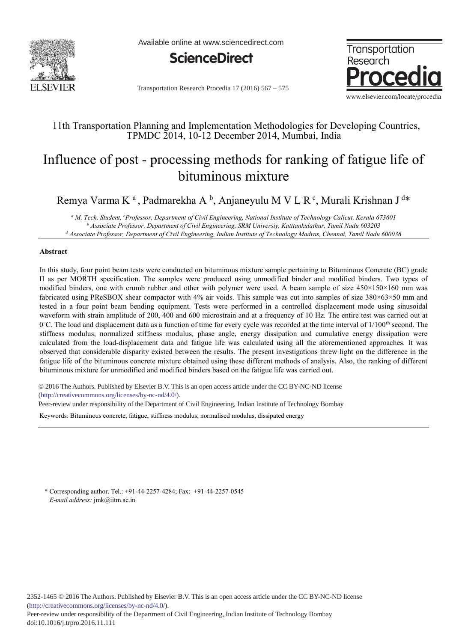

Available online at www.sciencedirect.com



Transportation Research Procedia 17 (2016) 567 - 575



# 11th Transportation Planning and Implementation Methodologies for Developing Countries, TPMDC 2014, 10-12 December 2014, Mumbai, India

# Influence of post - processing methods for ranking of fatigue life of bituminous mixture

Remya Varma K<sup>a</sup>, Padmarekha A<sup>b</sup>, Anjaneyulu M V L R<sup>c</sup>, Murali Krishnan J<sup>d\*</sup>

<sup>a</sup> M. Tech. Student, <sup>c</sup>Professor, Department of Civil Engineering, National Institute of Technology Calicut, Kerala 673601 **b**<br>b Associate Professor, Department of Civil Engineering, SRM Universiy, Katttankulathur, Tamil  *Associate Professor, Department of Civil Engineering, SRM Universiy, Katttankulathur, Tamil Nadu 603203 d Associate Professor, Department of Civil Engineering, Indian Institute of Technology Madras, Chennai, Tamil Nadu 600036* 

### Abstract

In this study, four point beam tests were conducted on bituminous mixture sample pertaining to Bituminous Concrete (BC) grade II as per MORTH specification. The samples were produced using unmodified binder and modified binders. Two types of modified binders, one with crumb rubber and other with polymer were used. A beam sample of size 450×150×160 mm was fabricated using PReSBOX shear compactor with 4% air voids. This sample was cut into samples of size 380×63×50 mm and tested in a four point beam bending equipment. Tests were performed in a controlled displacement mode using sinusoidal waveform with strain amplitude of 200, 400 and 600 microstrain and at a frequency of 10 Hz. The entire test was carried out at  $0^{\circ}$ C. The load and displacement data as a function of time for every cycle was recorded at the time interval of  $1/100^{\text{th}}$  second. The stiffness modulus, normalized stiffness modulus, phase angle, energy dissipation and cumulative energy dissipation were calculated from the load-displacement data and fatigue life was calculated using all the aforementioned approaches. It was observed that considerable disparity existed between the results. The present investigations threw light on the difference in the fatigue life of the bituminous concrete mixture obtained using these different methods of analysis. Also, the ranking of different bituminous mixture for unmodified and modified binders based on the fatigue life was carried out.

© 2015 The Authors. Published by Elsevier B. V. © 2016 The Authors. Published by Elsevier B.V. This is an open access article under the CC BY-NC-ND license (http://creativecommons.org/licenses/by-nc-nd/4.0/).

Peer-review under responsibility of the Department of Civil Engineering, Indian Institute of Technology Bombay

Keywords: Bituminous concrete, fatigue, stiffness modulus, normalised modulus, dissipated energy

\* Corresponding author. Tel.: +91-44-2257-4284; Fax: +91-44-2257-0545 *E-mail address:* jmk@iitm.ac.in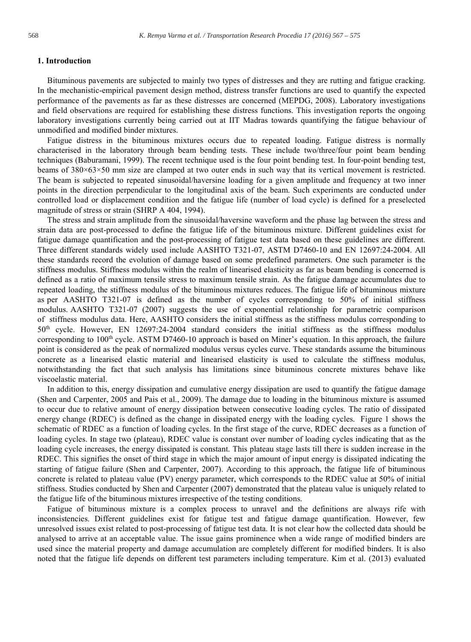# 1. Introduction

Bituminous pavements are subjected to mainly two types of distresses and they are rutting and fatigue cracking. In the mechanistic-empirical pavement design method, distress transfer functions are used to quantify the expected performance of the pavements as far as these distresses are concerned (MEPDG, 2008). Laboratory investigations and field observations are required for establishing these distress functions. This investigation reports the ongoing laboratory investigations currently being carried out at IIT Madras towards quantifying the fatigue behaviour of unmodified and modified binder mixtures.

Fatigue distress in the bituminous mixtures occurs due to repeated loading. Fatigue distress is normally characterised in the laboratory through beam bending tests. These include two/three/four point beam bending techniques (Baburamani, 1999). The recent technique used is the four point bending test. In four-point bending test, beams of 380×63×50 mm size are clamped at two outer ends in such way that its vertical movement is restricted. The beam is subjected to repeated sinusoidal/haversine loading for a given amplitude and frequency at two inner points in the direction perpendicular to the longitudinal axis of the beam. Such experiments are conducted under controlled load or displacement condition and the fatigue life (number of load cycle) is defined for a preselected magnitude of stress or strain (SHRP A 404, 1994).

The stress and strain amplitude from the sinusoidal/haversine waveform and the phase lag between the stress and strain data are post-processed to define the fatigue life of the bituminous mixture. Different guidelines exist for fatigue damage quantification and the post-processing of fatigue test data based on these guidelines are different. Three different standards widely used include AASHTO T321-07, ASTM D7460-10 and EN 12697:24-2004. All these standards record the evolution of damage based on some predefined parameters. One such parameter is the stiffness modulus. Stiffness modulus within the realm of linearised elasticity as far as beam bending is concerned is defined as a ratio of maximum tensile stress to maximum tensile strain. As the fatigue damage accumulates due to repeated loading, the stiffness modulus of the bituminous mixtures reduces. The fatigue life of bituminous mixture as per AASHTO T321-07 is defined as the number of cycles corresponding to 50% of initial stiffness modulus. AASHTO T321-07 (2007) suggests the use of exponential relationship for parametric comparison of stiffness modulus data. Here, AASHTO considers the initial stiffness as the stiffness modulus corresponding to  $50<sup>th</sup>$  cycle. However, EN 12697:24-2004 standard considers the initial stiffness as the stiffness modulus corresponding to  $100<sup>th</sup>$  cycle. ASTM D7460-10 approach is based on Miner's equation. In this approach, the failure point is considered as the peak of normalized modulus versus cycles curve. These standards assume the bituminous concrete as a linearised elastic material and linearised elasticity is used to calculate the stiffness modulus, notwithstanding the fact that such analysis has limitations since bituminous concrete mixtures behave like viscoelastic material.

In addition to this, energy dissipation and cumulative energy dissipation are used to quantify the fatigue damage (Shen and Carpenter, 2005 and Pais et al., 2009). The damage due to loading in the bituminous mixture is assumed to occur due to relative amount of energy dissipation between consecutive loading cycles. The ratio of dissipated energy change (RDEC) is defined as the change in dissipated energy with the loading cycles. Figure 1 shows the schematic of RDEC as a function of loading cycles. In the first stage of the curve, RDEC decreases as a function of loading cycles. In stage two (plateau), RDEC value is constant over number of loading cycles indicating that as the loading cycle increases, the energy dissipated is constant. This plateau stage lasts till there is sudden increase in the RDEC. This signifies the onset of third stage in which the major amount of input energy is dissipated indicating the starting of fatigue failure (Shen and Carpenter, 2007). According to this approach, the fatigue life of bituminous concrete is related to plateau value (PV) energy parameter, which corresponds to the RDEC value at 50% of initial stiffness. Studies conducted by Shen and Carpenter (2007) demonstrated that the plateau value is uniquely related to the fatigue life of the bituminous mixtures irrespective of the testing conditions.

Fatigue of bituminous mixture is a complex process to unravel and the definitions are always rife with inconsistencies. Different guidelines exist for fatigue test and fatigue damage quantification. However, few unresolved issues exist related to post-processing of fatigue test data. It is not clear how the collected data should be analysed to arrive at an acceptable value. The issue gains prominence when a wide range of modified binders are used since the material property and damage accumulation are completely different for modified binders. It is also noted that the fatigue life depends on different test parameters including temperature. Kim et al. (2013) evaluated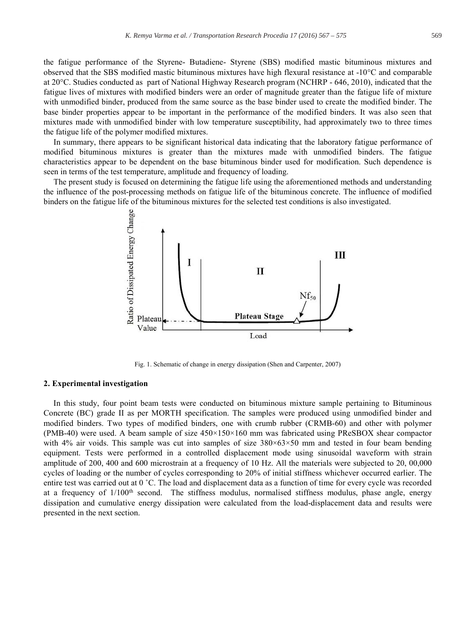the fatigue performance of the Styrene- Butadiene- Styrene (SBS) modified mastic bituminous mixtures and observed that the SBS modified mastic bituminous mixtures have high flexural resistance at  $-10\degree$ C and comparable at 20°C. Studies conducted as part of National Highway Research program (NCHRP - 646, 2010), indicated that the fatigue lives of mixtures with modified binders were an order of magnitude greater than the fatigue life of mixture with unmodified binder, produced from the same source as the base binder used to create the modified binder. The base binder properties appear to be important in the performance of the modified binders. It was also seen that mixtures made with unmodified binder with low temperature susceptibility, had approximately two to three times the fatigue life of the polymer modified mixtures.

In summary, there appears to be significant historical data indicating that the laboratory fatigue performance of modified bituminous mixtures is greater than the mixtures made with unmodified binders. The fatigue characteristics appear to be dependent on the base bituminous binder used for modification. Such dependence is seen in terms of the test temperature, amplitude and frequency of loading.

The present study is focused on determining the fatigue life using the aforementioned methods and understanding the influence of the post-processing methods on fatigue life of the bituminous concrete. The influence of modified binders on the fatigue life of the bituminous mixtures for the selected test conditions is also investigated.



Fig. 1. Schematic of change in energy dissipation (Shen and Carpenter, 2007)

#### 2. Experimental investigation

In this study, four point beam tests were conducted on bituminous mixture sample pertaining to Bituminous Concrete (BC) grade II as per MORTH specification. The samples were produced using unmodified binder and modified binders. Two types of modified binders, one with crumb rubber (CRMB-60) and other with polymer (PMB-40) were used. A beam sample of size 450×150×160 mm was fabricated using PReSBOX shear compactor with 4% air voids. This sample was cut into samples of size  $380\times63\times50$  mm and tested in four beam bending equipment. Tests were performed in a controlled displacement mode using sinusoidal waveform with strain amplitude of 200, 400 and 600 microstrain at a frequency of 10 Hz. All the materials were subjected to 20, 00,000 cycles of loading or the number of cycles corresponding to 20% of initial stiffness whichever occurred earlier. The entire test was carried out at 0 °C. The load and displacement data as a function of time for every cycle was recorded at a frequency of  $1/100<sup>th</sup>$  second. The stiffness modulus, normalised stiffness modulus, phase angle, energy dissipation and cumulative energy dissipation were calculated from the load-displacement data and results were presented in the next section.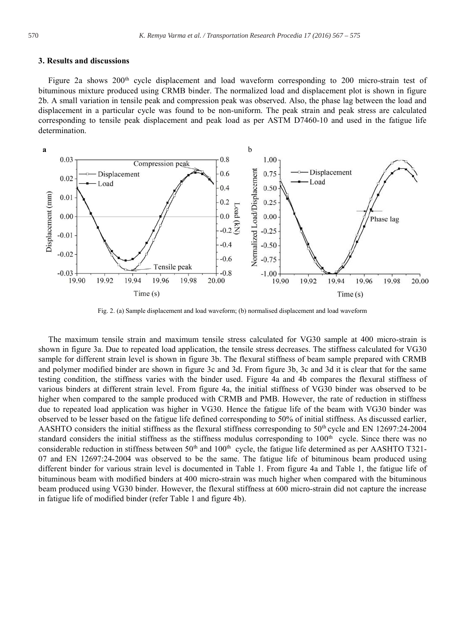#### 3. Results and discussions

Figure 2a shows  $200<sup>th</sup>$  cycle displacement and load waveform corresponding to 200 micro-strain test of bituminous mixture produced using CRMB binder. The normalized load and displacement plot is shown in figure 2b. A small variation in tensile peak and compression peak was observed. Also, the phase lag between the load and displacement in a particular cycle was found to be non-uniform. The peak strain and peak stress are calculated corresponding to tensile peak displacement and peak load as per ASTM D7460-10 and used in the fatigue life determination.



Fig. 2. (a) Sample displacement and load waveform; (b) normalised displacement and load waveform

The maximum tensile strain and maximum tensile stress calculated for VG30 sample at 400 micro-strain is shown in figure 3a. Due to repeated load application, the tensile stress decreases. The stiffness calculated for VG30 sample for different strain level is shown in figure 3b. The flexural stiffness of beam sample prepared with CRMB and polymer modified binder are shown in figure 3c and 3d. From figure 3b, 3c and 3d it is clear that for the same testing condition, the stiffness varies with the binder used. Figure 4a and 4b compares the flexural stiffness of various binders at different strain level. From figure 4a, the initial stiffness of VG30 binder was observed to be higher when compared to the sample produced with CRMB and PMB. However, the rate of reduction in stiffness due to repeated load application was higher in VG30. Hence the fatigue life of the beam with VG30 binder was observed to be lesser based on the fatigue life defined corresponding to 50% of initial stiffness. As discussed earlier, AASHTO considers the initial stiffness as the flexural stiffness corresponding to  $50<sup>th</sup>$  cycle and EN 12697:24-2004 standard considers the initial stiffness as the stiffness modulus corresponding to 100<sup>th</sup> cycle. Since there was no considerable reduction in stiffness between  $50<sup>th</sup>$  and  $100<sup>th</sup>$  cycle, the fatigue life determined as per AASHTO T321-07 and EN 12697:24-2004 was observed to be the same. The fatigue life of bituminous beam produced using different binder for various strain level is documented in Table 1. From figure 4a and Table 1, the fatigue life of bituminous beam with modified binders at 400 micro-strain was much higher when compared with the bituminous beam produced using VG30 binder. However, the flexural stiffness at 600 micro-strain did not capture the increase in fatigue life of modified binder (refer Table 1 and figure 4b).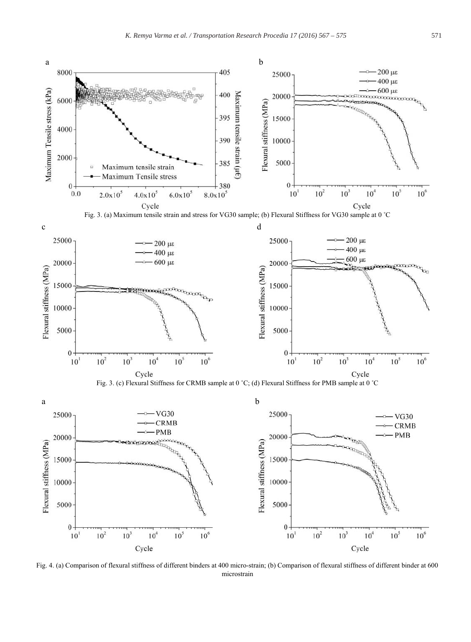

Fig. 4. (a) Comparison of flexural stiffness of different binders at 400 micro-strain; (b) Comparison of flexural stiffness of different binder at 600 microstrain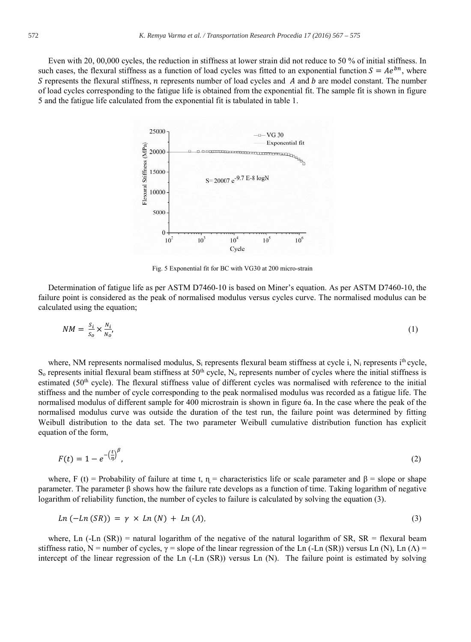Even with 20, 00,000 cycles, the reduction in stiffness at lower strain did not reduce to 50 % of initial stiffness. In such cases, the flexural stiffness as a function of load cycles was fitted to an exponential function  $S = Ae^{bn}$ , where S represents the flexural stiffness,  $n$  represents number of load cycles and  $A$  and  $b$  are model constant. The number of load cycles corresponding to the fatigue life is obtained from the exponential fit. The sample fit is shown in figure 5 and the fatigue life calculated from the exponential fit is tabulated in table 1.



Fig. 5 Exponential fit for BC with VG30 at 200 micro-strain

Determination of fatigue life as per ASTM D7460-10 is based on Miner's equation. As per ASTM D7460-10, the failure point is considered as the peak of normalised modulus versus cycles curve. The normalised modulus can be calculated using the equation;

$$
NM = \frac{s_i}{s_o} \times \frac{N_i}{N_o'},\tag{1}
$$

where, NM represents normalised modulus,  $S_i$  represents flexural beam stiffness at cycle i,  $N_i$  represents i<sup>th</sup> cycle,  $S_0$  represents initial flexural beam stiffness at 50<sup>th</sup> cycle, N<sub>o</sub> represents number of cycles where the initial stiffness is estimated (50<sup>th</sup> cycle). The flexural stiffness value of different cycles was normalised with reference to the initial stiffness and the number of cycle corresponding to the peak normalised modulus was recorded as a fatigue life. The normalised modulus of different sample for 400 microstrain is shown in figure 6a. In the case where the peak of the normalised modulus curve was outside the duration of the test run, the failure point was determined by fitting Weibull distribution to the data set. The two parameter Weibull cumulative distribution function has explicit equation of the form,

$$
F(t) = 1 - e^{-\left(\frac{t}{\eta}\right)^{\beta}},\tag{2}
$$

where, F (t) = Probability of failure at time t,  $\eta$  = characteristics life or scale parameter and  $\beta$  = slope or shape parameter. The parameter β shows how the failure rate develops as a function of time. Taking logarithm of negative logarithm of reliability function, the number of cycles to failure is calculated by solving the equation (3).

$$
Ln (-Ln (SR)) = \gamma \times Ln (N) + Ln (\Lambda), \qquad (3)
$$

where, Ln  $(-Ln (SR))$  = natural logarithm of the negative of the natural logarithm of SR, SR = flexural beam stiffness ratio, N = number of cycles,  $\gamma$  = slope of the linear regression of the Ln (-Ln (SR)) versus Ln (N), Ln ( $\Lambda$ ) = intercept of the linear regression of the Ln (-Ln (SR)) versus Ln (N). The failure point is estimated by solving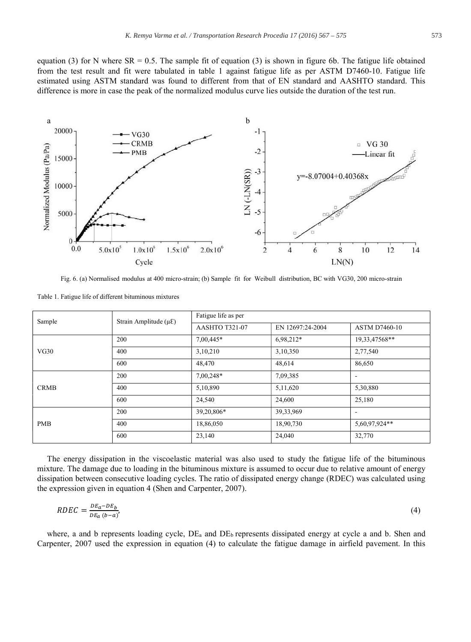equation (3) for N where  $SR = 0.5$ . The sample fit of equation (3) is shown in figure 6b. The fatigue life obtained from the test result and fit were tabulated in table 1 against fatigue life as per ASTM D7460-10. Fatigue life estimated using ASTM standard was found to different from that of EN standard and AASHTO standard. This difference is more in case the peak of the normalized modulus curve lies outside the duration of the test run.



Fig. 6. (a) Normalised modulus at 400 micro-strain; (b) Sample fit for Weibull distribution, BC with VG30, 200 micro-strain

| Sample      | Strain Amplitude ( $\mu \mathcal{E}$ ) | Fatigue life as per |                  |                          |
|-------------|----------------------------------------|---------------------|------------------|--------------------------|
|             |                                        | AASHTO T321-07      | EN 12697:24-2004 | <b>ASTM D7460-10</b>     |
| VG30        | 200                                    | 7,00,445*           | 6,98,212*        | 19,33,47568**            |
|             | 400                                    | 3,10,210            | 3,10,350         | 2,77,540                 |
|             | 600                                    | 48,470              | 48,614           | 86,650                   |
| <b>CRMB</b> | 200                                    | 7,00,248*           | 7,09,385         | $\overline{\phantom{a}}$ |
|             | 400                                    | 5,10,890            | 5,11,620         | 5,30,880                 |
|             | 600                                    | 24,540              | 24,600           | 25,180                   |
| <b>PMB</b>  | 200                                    | 39,20,806*          | 39,33,969        | $\overline{\phantom{a}}$ |
|             | 400                                    | 18,86,050           | 18,90,730        | 5,60,97,924**            |
|             | 600                                    | 23,140              | 24,040           | 32,770                   |

Table 1. Fatigue life of different bituminous mixtures

The energy dissipation in the viscoelastic material was also used to study the fatigue life of the bituminous mixture. The damage due to loading in the bituminous mixture is assumed to occur due to relative amount of energy dissipation between consecutive loading cycles. The ratio of dissipated energy change (RDEC) was calculated using the expression given in equation 4 (Shen and Carpenter, 2007).

$$
RDEC = \frac{DE_a - DE_b}{DE_a (b - a)}\tag{4}
$$

where, a and b represents loading cycle, DE<sub>a</sub> and DE<sub>b</sub> represents dissipated energy at cycle a and b. Shen and Carpenter, 2007 used the expression in equation (4) to calculate the fatigue damage in airfield pavement. In this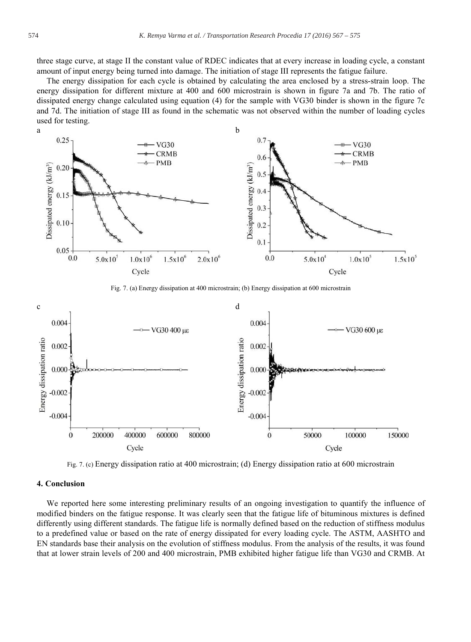three stage curve, at stage II the constant value of RDEC indicates that at every increase in loading cycle, a constant amount of input energy being turned into damage. The initiation of stage III represents the fatigue failure.

The energy dissipation for each cycle is obtained by calculating the area enclosed by a stress-strain loop. The energy dissipation for different mixture at 400 and 600 microstrain is shown in figure 7a and 7b. The ratio of dissipated energy change calculated using equation (4) for the sample with VG30 binder is shown in the figure 7c and 7d. The initiation of stage III as found in the schematic was not observed within the number of loading cycles used for testing.



Fig. 7. (a) Energy dissipation at 400 microstrain; (b) Energy dissipation at 600 microstrain



Fig. 7. (c) Energy dissipation ratio at 400 microstrain; (d) Energy dissipation ratio at 600 microstrain

# 4. Conclusion

We reported here some interesting preliminary results of an ongoing investigation to quantify the influence of modified binders on the fatigue response. It was clearly seen that the fatigue life of bituminous mixtures is defined differently using different standards. The fatigue life is normally defined based on the reduction of stiffness modulus to a predefined value or based on the rate of energy dissipated for every loading cycle. The ASTM, AASHTO and EN standards base their analysis on the evolution of stiffness modulus. From the analysis of the results, it was found that at lower strain levels of 200 and 400 microstrain, PMB exhibited higher fatigue life than VG30 and CRMB. At